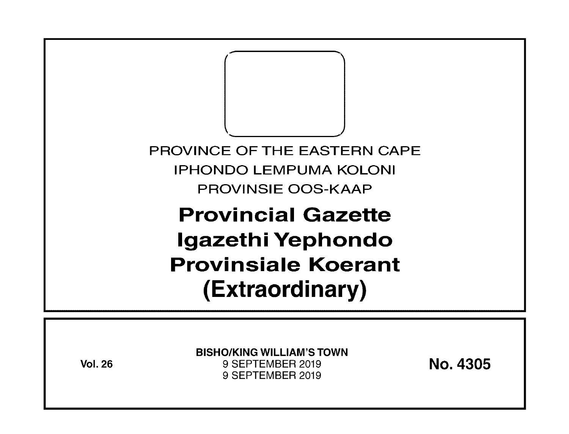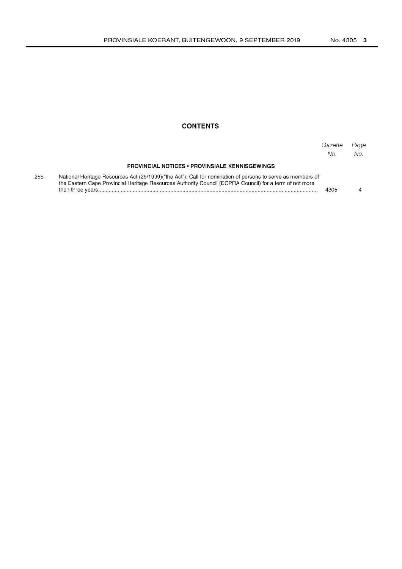#### **CONTENTS**

|     |                                                                                                                                                                                                                        | Gazette<br>No. | Page<br>No. |
|-----|------------------------------------------------------------------------------------------------------------------------------------------------------------------------------------------------------------------------|----------------|-------------|
|     | <b>PROVINCIAL NOTICES • PROVINSIALE KENNISGEWINGS</b>                                                                                                                                                                  |                |             |
| 255 | National Heritage Resources Act (25/1999)("the Act"): Call for nomination of persons to serve as members of<br>the Eastern Cape Provincial Heritage Resources Authority Council (ECPRA Council) for a term of not more | 4305           |             |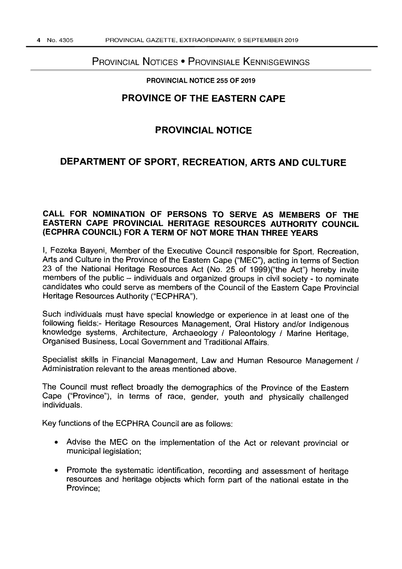### PROVINCIAL NOTICES • PROVINSIALE KENNISGEWINGS

#### PROVINCIAL NOTICE 255 OF 2019

### **PROVINCE OF THE EASTERN CAPE**

## **PROVINCIAL NOTICE**

# **DEPARTMENT OF SPORT, RECREATION, ARTS AND CULTURE**

#### **CALL FOR NOMINATION OF PERSONS TO SERVE AS MEMBERS OF THE EASTERN CAPE PROVINCIAL HERITAGE RESOURCES AUTHORITY COUNCIL (ECPHRA COUNCIL) FOR A TERM OF NOT MORE THAN THREE YEARS**

I, Fezeka Bayeni, Member of the Executive Council responsible for Sport, Recreation, Arts and Culture in the Province of the Eastern Cape ("MEC"), acting in terms of Section 23 of the National Heritage Resources Act (No. 25 of 1999)("the Act") hereby invite members of the public  $-$  individuals and organized groups in civil society - to nominate candidates who could serve as members of the Council of the Eastern Cape Provincial Heritage Resources Authority ("ECPHRA").

Such individuals must have special knowledge or experience in at least one of the following fields:- Heritage Resources Management, Oral History and/or Indigenous knowledge systems, Architecture, Archaeology / Paleontology / Marine Heritage, Organised Business, Local Government and Traditional Affairs.

Specialist skills in Financial Management, Law and Human Resource Management / Administration relevant to the areas mentioned above.

The Council must reflect broadly the demographics of the Province of the Eastern Cape ("Province"), in terms of race, gender, youth and physically challenged individuals.

Key functions of the ECPHRA Council are as follows:

- Advise the MEC on the implementation of the Act or relevant provincial or municipal legislation;
- Promote the systematic identification, recording and assessment of heritage resources and heritage objects which form part of the national estate in the Province;